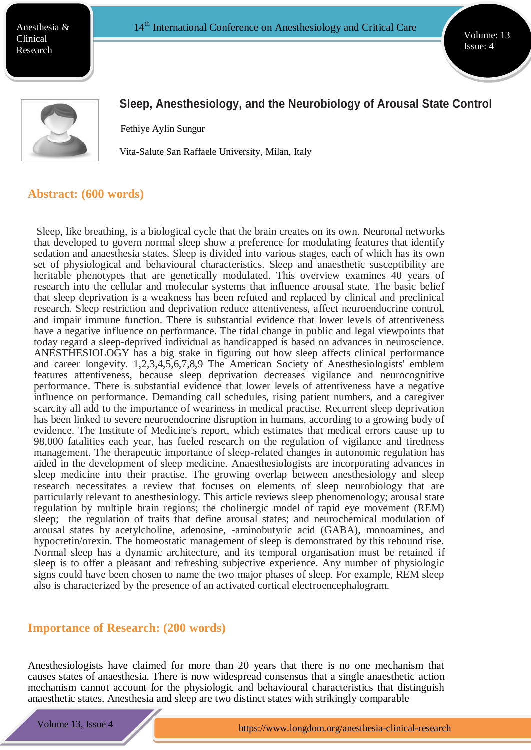Anesthesia & Clinical Research

Volume: 13 Issue: 4



# **Sleep, Anesthesiology, and the Neurobiology of Arousal State Control**

Fethiye Aylin Sungur

Vita-Salute San Raffaele University, Milan, Italy

#### **Abstract: (600 words)**

Sleep, like breathing, is a biological cycle that the brain creates on its own. Neuronal networks that developed to govern normal sleep show a preference for modulating features that identify sedation and anaesthesia states. Sleep is divided into various stages, each of which has its own set of physiological and behavioural characteristics. Sleep and anaesthetic susceptibility are heritable phenotypes that are genetically modulated. This overview examines 40 years of research into the cellular and molecular systems that influence arousal state. The basic belief that sleep deprivation is a weakness has been refuted and replaced by clinical and preclinical research. Sleep restriction and deprivation reduce attentiveness, affect neuroendocrine control, and impair immune function. There is substantial evidence that lower levels of attentiveness have a negative influence on performance. The tidal change in public and legal viewpoints that today regard a sleep-deprived individual as handicapped is based on advances in neuroscience. ANESTHESIOLOGY has a big stake in figuring out how sleep affects clinical performance and career longevity. 1,2,3,4,5,6,7,8,9 The American Society of Anesthesiologists' emblem features attentiveness, because sleep deprivation decreases vigilance and neurocognitive performance. There is substantial evidence that lower levels of attentiveness have a negative influence on performance. Demanding call schedules, rising patient numbers, and a caregiver scarcity all add to the importance of weariness in medical practise. Recurrent sleep deprivation has been linked to severe neuroendocrine disruption in humans, according to a growing body of evidence. The Institute of Medicine's report, which estimates that medical errors cause up to 98,000 fatalities each year, has fueled research on the regulation of vigilance and tiredness management. The therapeutic importance of sleep-related changes in autonomic regulation has aided in the development of sleep medicine. Anaesthesiologists are incorporating advances in sleep medicine into their practise. The growing overlap between anesthesiology and sleep research necessitates a review that focuses on elements of sleep neurobiology that are particularly relevant to anesthesiology. This article reviews sleep phenomenology; arousal state regulation by multiple brain regions; the cholinergic model of rapid eye movement (REM) sleep; the regulation of traits that define arousal states; and neurochemical modulation of arousal states by acetylcholine, adenosine, -aminobutyric acid (GABA), monoamines, and hypocretin/orexin. The homeostatic management of sleep is demonstrated by this rebound rise. Normal sleep has a dynamic architecture, and its temporal organisation must be retained if sleep is to offer a pleasant and refreshing subjective experience. Any number of physiologic signs could have been chosen to name the two major phases of sleep. For example, REM sleep also is characterized by the presence of an activated cortical electroencephalogram.

#### **Importance of Research: (200 words)**

**ht[tps://ww](http://www.meetingsint.com/conferences/emergencymedicine)w.m[eetingsint.com/confences/emergencymedicine](http://www.meetingsint.com/conferences/emergencymedicine)**

Anesthesiologists have claimed for more than 20 years that there is no one mechanism that causes states of anaesthesia. There is now widespread consensus that a single anaesthetic action mechanism cannot account for the physiologic and behavioural characteristics that distinguish anaesthetic states. Anesthesia and sleep are two distinct states with strikingly comparable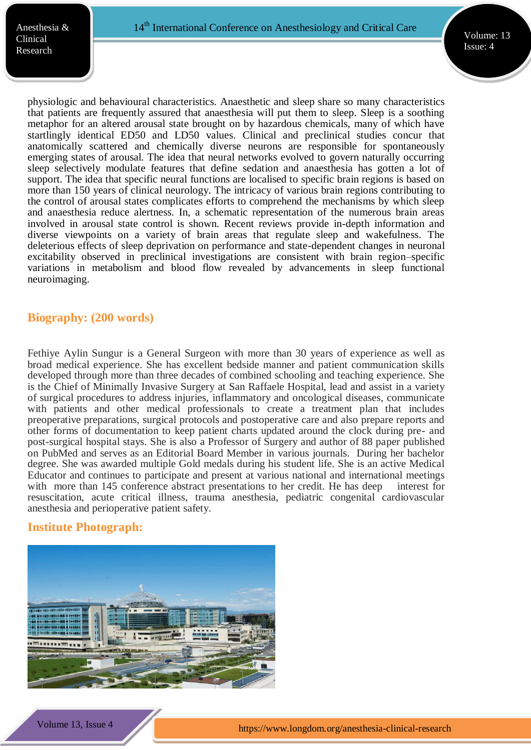physiologic and behavioural characteristics. Anaesthetic and sleep share so many characteristics that patients are frequently assured that anaesthesia will put them to sleep. Sleep is a soothing metaphor for an altered arousal state brought on by hazardous chemicals, many of which have startlingly identical ED50 and LD50 values. Clinical and preclinical studies concur that anatomically scattered and chemically diverse neurons are responsible for spontaneously emerging states of arousal. The idea that neural networks evolved to govern naturally occurring sleep selectively modulate features that define sedation and anaesthesia has gotten a lot of support. The idea that specific neural functions are localised to specific brain regions is based on more than 150 years of clinical neurology. The intricacy of various brain regions contributing to the control of arousal states complicates efforts to comprehend the mechanisms by which sleep and anaesthesia reduce alertness. In, a schematic representation of the numerous brain areas involved in arousal state control is shown. Recent reviews provide in-depth information and diverse viewpoints on a variety of brain areas that regulate sleep and wakefulness. The deleterious effects of sleep deprivation on performance and state-dependent changes in neuronal excitability observed in preclinical investigations are consistent with brain region–specific variations in metabolism and blood flow revealed by advancements in sleep functional neuroimaging.

## **Biography: (200 words)**

Fethiye Aylin Sungur is a General Surgeon with more than 30 years of experience as well as broad medical experience. She has excellent bedside manner and patient communication skills developed through more than three decades of combined schooling and teaching experience. She is the Chief of Minimally Invasive Surgery at San Raffaele Hospital, lead and assist in a variety of surgical procedures to address injuries, inflammatory and oncological diseases, communicate with patients and other medical professionals to create a treatment plan that includes preoperative preparations, surgical protocols and postoperative care and also prepare reports and other forms of documentation to keep patient charts updated around the clock during pre- and post-surgical hospital stays. She is also a Professor of Surgery and author of 88 paper published on PubMed and serves as an Editorial Board Member in various journals. During her bachelor degree. She was awarded multiple Gold medals during his student life. She is an active Medical Educator and continues to participate and present at various national and international meetings with more than 145 conference abstract presentations to her credit. He has deep interest for resuscitation, acute critical illness, trauma anesthesia, pediatric congenital cardiovascular anesthesia and perioperative patient safety.

## **Institute Photograph:**